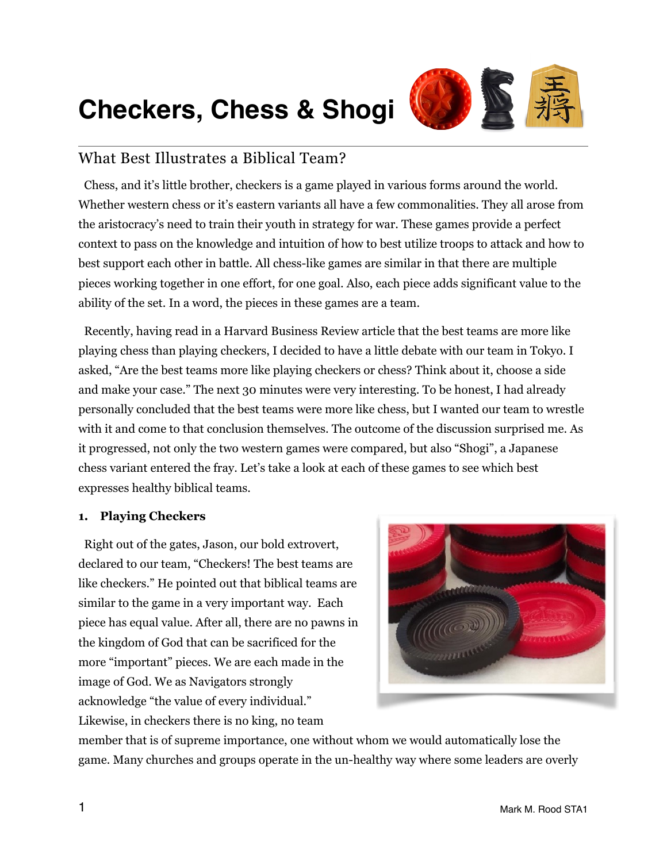# **Checkers, Chess & Shogi**



# What Best Illustrates a Biblical Team?

 Chess, and it's little brother, checkers is a game played in various forms around the world. Whether western chess or it's eastern variants all have a few commonalities. They all arose from the aristocracy's need to train their youth in strategy for war. These games provide a perfect context to pass on the knowledge and intuition of how to best utilize troops to attack and how to best support each other in battle. All chess-like games are similar in that there are multiple pieces working together in one effort, for one goal. Also, each piece adds significant value to the ability of the set. In a word, the pieces in these games are a team.

 Recently, having read in a Harvard Business Review article that the best teams are more like playing chess than playing checkers, I decided to have a little debate with our team in Tokyo. I asked, "Are the best teams more like playing checkers or chess? Think about it, choose a side and make your case." The next 30 minutes were very interesting. To be honest, I had already personally concluded that the best teams were more like chess, but I wanted our team to wrestle with it and come to that conclusion themselves. The outcome of the discussion surprised me. As it progressed, not only the two western games were compared, but also "Shogi", a Japanese chess variant entered the fray. Let's take a look at each of these games to see which best expresses healthy biblical teams.

## **1. Playing Checkers**

 Right out of the gates, Jason, our bold extrovert, declared to our team, "Checkers! The best teams are like checkers." He pointed out that biblical teams are similar to the game in a very important way. Each piece has equal value. After all, there are no pawns in the kingdom of God that can be sacrificed for the more "important" pieces. We are each made in the image of God. We as Navigators strongly acknowledge "the value of every individual." Likewise, in checkers there is no king, no team



member that is of supreme importance, one without whom we would automatically lose the game. Many churches and groups operate in the un-healthy way where some leaders are overly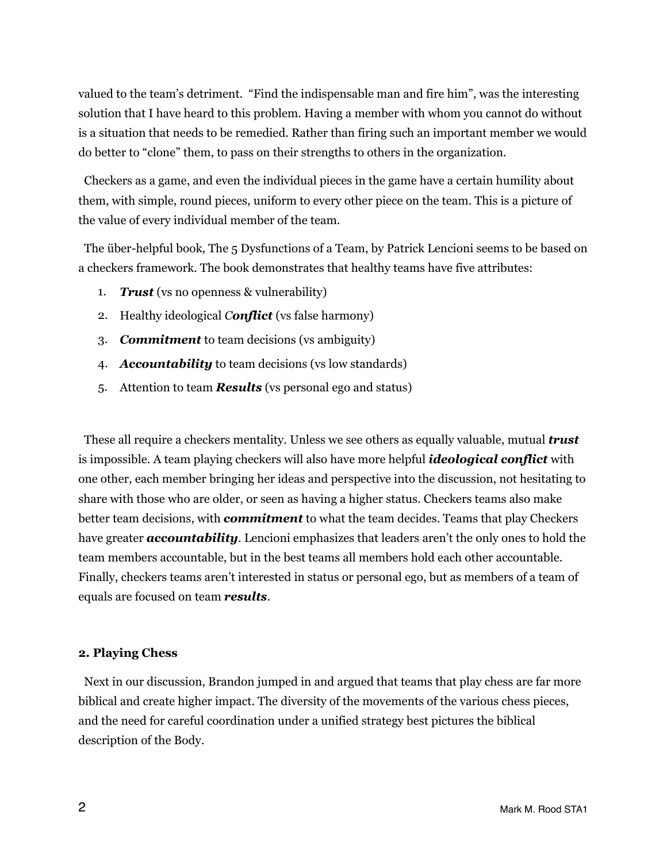valued to the team's detriment. "Find the indispensable man and fire him", was the interesting solution that I have heard to this problem. Having a member with whom you cannot do without is a situation that needs to be remedied. Rather than firing such an important member we would do better to "clone" them, to pass on their strengths to others in the organization.

 Checkers as a game, and even the individual pieces in the game have a certain humility about them, with simple, round pieces, uniform to every other piece on the team. This is a picture of the value of every individual member of the team.

 The über-helpful book, The 5 Dysfunctions of a Team, by Patrick Lencioni seems to be based on a checkers framework. The book demonstrates that healthy teams have five attributes:

- 1. *Trust* (vs no openness & vulnerability)
- 2. Healthy ideological *Conflict* (vs false harmony)
- 3. *Commitment* to team decisions (vs ambiguity)
- 4. *Accountability* to team decisions (vs low standards)
- 5. Attention to team *Results* (vs personal ego and status)

 These all require a checkers mentality. Unless we see others as equally valuable, mutual *trust* is impossible. A team playing checkers will also have more helpful *ideological conflict* with one other, each member bringing her ideas and perspective into the discussion, not hesitating to share with those who are older, or seen as having a higher status. Checkers teams also make better team decisions, with *commitment* to what the team decides. Teams that play Checkers have greater *accountability*. Lencioni emphasizes that leaders aren't the only ones to hold the team members accountable, but in the best teams all members hold each other accountable. Finally, checkers teams aren't interested in status or personal ego, but as members of a team of equals are focused on team *results*.

#### **2. Playing Chess**

 Next in our discussion, Brandon jumped in and argued that teams that play chess are far more biblical and create higher impact. The diversity of the movements of the various chess pieces, and the need for careful coordination under a unified strategy best pictures the biblical description of the Body.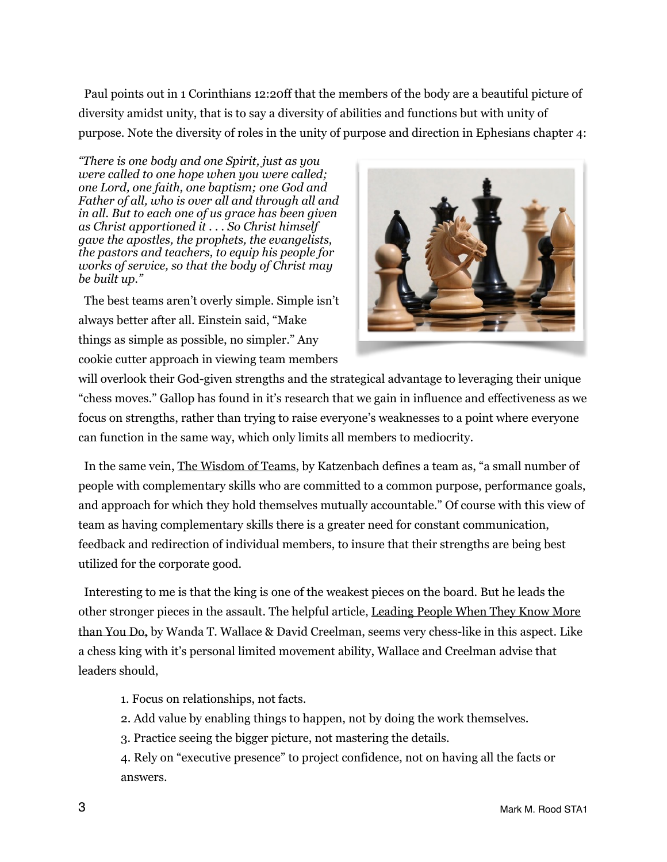Paul points out in 1 Corinthians 12:20ff that the members of the body are a beautiful picture of diversity amidst unity, that is to say a diversity of abilities and functions but with unity of purpose. Note the diversity of roles in the unity of purpose and direction in Ephesians chapter 4:

*"There is one body and one Spirit, just as you were called to one hope when you were called; one Lord, one faith, one baptism; one God and Father of all, who is over all and through all and in all. But to each one of us grace has been given as Christ apportioned it . . . So Christ himself gave the apostles, the prophets, the evangelists, the pastors and teachers, to equip his people for works of service, so that the body of Christ may be built up."* 

 The best teams aren't overly simple. Simple isn't always better after all. Einstein said, "Make things as simple as possible, no simpler." Any cookie cutter approach in viewing team members



will overlook their God-given strengths and the strategical advantage to leveraging their unique "chess moves." Gallop has found in it's research that we gain in influence and effectiveness as we focus on strengths, rather than trying to raise everyone's weaknesses to a point where everyone can function in the same way, which only limits all members to mediocrity.

 In the same vein, The Wisdom of Teams, by Katzenbach defines a team as, "a small number of people with complementary skills who are committed to a common purpose, performance goals, and approach for which they hold themselves mutually accountable." Of course with this view of team as having complementary skills there is a greater need for constant communication, feedback and redirection of individual members, to insure that their strengths are being best utilized for the corporate good.

 Interesting to me is that the king is one of the weakest pieces on the board. But he leads the other stronger pieces in the assault. The helpful article, Leading People When They Know More than You Do, by Wanda T. Wallace & David Creelman, seems very chess-like in this aspect. Like a chess king with it's personal limited movement ability, Wallace and Creelman advise that leaders should,

- 1. Focus on relationships, not facts.
- 2. Add value by enabling things to happen, not by doing the work themselves.
- 3. Practice seeing the bigger picture, not mastering the details.

4. Rely on "executive presence" to project confidence, not on having all the facts or answers.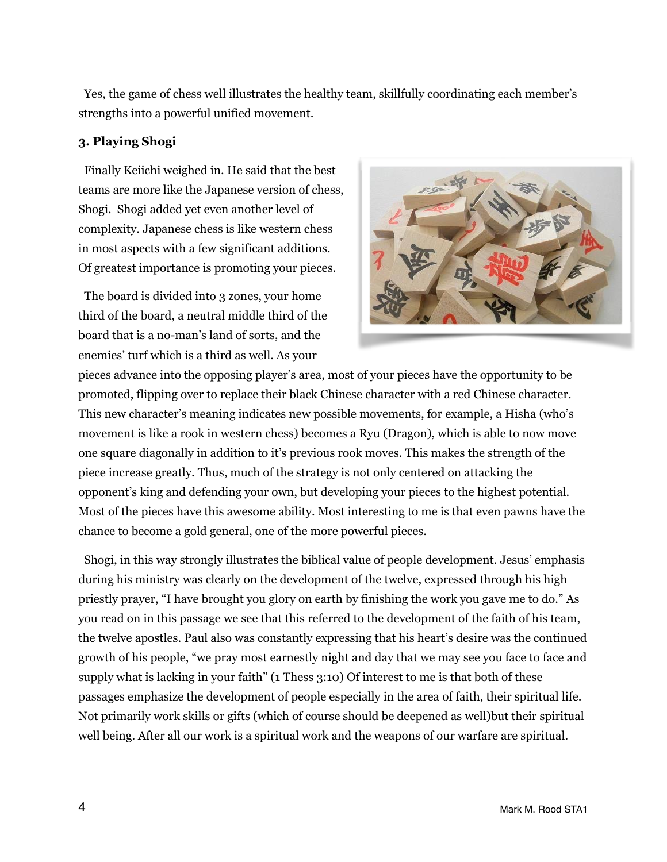Yes, the game of chess well illustrates the healthy team, skillfully coordinating each member's strengths into a powerful unified movement.

#### **3. Playing Shogi**

 Finally Keiichi weighed in. He said that the best teams are more like the Japanese version of chess, Shogi. Shogi added yet even another level of complexity. Japanese chess is like western chess in most aspects with a few significant additions. Of greatest importance is promoting your pieces.

 The board is divided into 3 zones, your home third of the board, a neutral middle third of the board that is a no-man's land of sorts, and the enemies' turf which is a third as well. As your



pieces advance into the opposing player's area, most of your pieces have the opportunity to be promoted, flipping over to replace their black Chinese character with a red Chinese character. This new character's meaning indicates new possible movements, for example, a Hisha (who's movement is like a rook in western chess) becomes a Ryu (Dragon), which is able to now move one square diagonally in addition to it's previous rook moves. This makes the strength of the piece increase greatly. Thus, much of the strategy is not only centered on attacking the opponent's king and defending your own, but developing your pieces to the highest potential. Most of the pieces have this awesome ability. Most interesting to me is that even pawns have the chance to become a gold general, one of the more powerful pieces.

 Shogi, in this way strongly illustrates the biblical value of people development. Jesus' emphasis during his ministry was clearly on the development of the twelve, expressed through his high priestly prayer, "I have brought you glory on earth by finishing the work you gave me to do." As you read on in this passage we see that this referred to the development of the faith of his team, the twelve apostles. Paul also was constantly expressing that his heart's desire was the continued growth of his people, "we pray most earnestly night and day that we may see you face to face and supply what is lacking in your faith" (1 Thess 3:10) Of interest to me is that both of these passages emphasize the development of people especially in the area of faith, their spiritual life. Not primarily work skills or gifts (which of course should be deepened as well)but their spiritual well being. After all our work is a spiritual work and the weapons of our warfare are spiritual.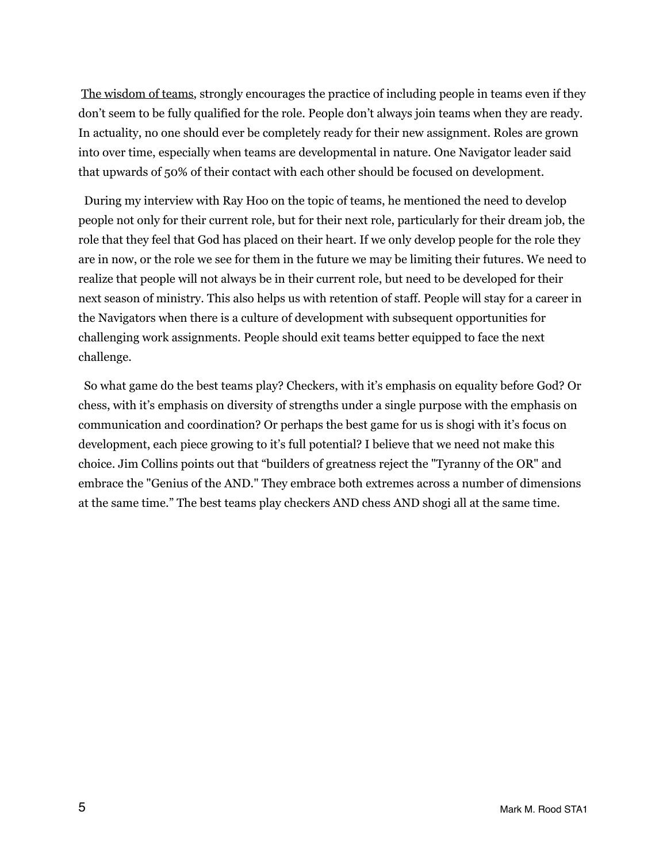The wisdom of teams, strongly encourages the practice of including people in teams even if they don't seem to be fully qualified for the role. People don't always join teams when they are ready. In actuality, no one should ever be completely ready for their new assignment. Roles are grown into over time, especially when teams are developmental in nature. One Navigator leader said that upwards of 50% of their contact with each other should be focused on development.

 During my interview with Ray Hoo on the topic of teams, he mentioned the need to develop people not only for their current role, but for their next role, particularly for their dream job, the role that they feel that God has placed on their heart. If we only develop people for the role they are in now, or the role we see for them in the future we may be limiting their futures. We need to realize that people will not always be in their current role, but need to be developed for their next season of ministry. This also helps us with retention of staff. People will stay for a career in the Navigators when there is a culture of development with subsequent opportunities for challenging work assignments. People should exit teams better equipped to face the next challenge.

 So what game do the best teams play? Checkers, with it's emphasis on equality before God? Or chess, with it's emphasis on diversity of strengths under a single purpose with the emphasis on communication and coordination? Or perhaps the best game for us is shogi with it's focus on development, each piece growing to it's full potential? I believe that we need not make this choice. Jim Collins points out that "builders of greatness reject the "Tyranny of the OR" and embrace the "Genius of the AND." They embrace both extremes across a number of dimensions at the same time." The best teams play checkers AND chess AND shogi all at the same time.